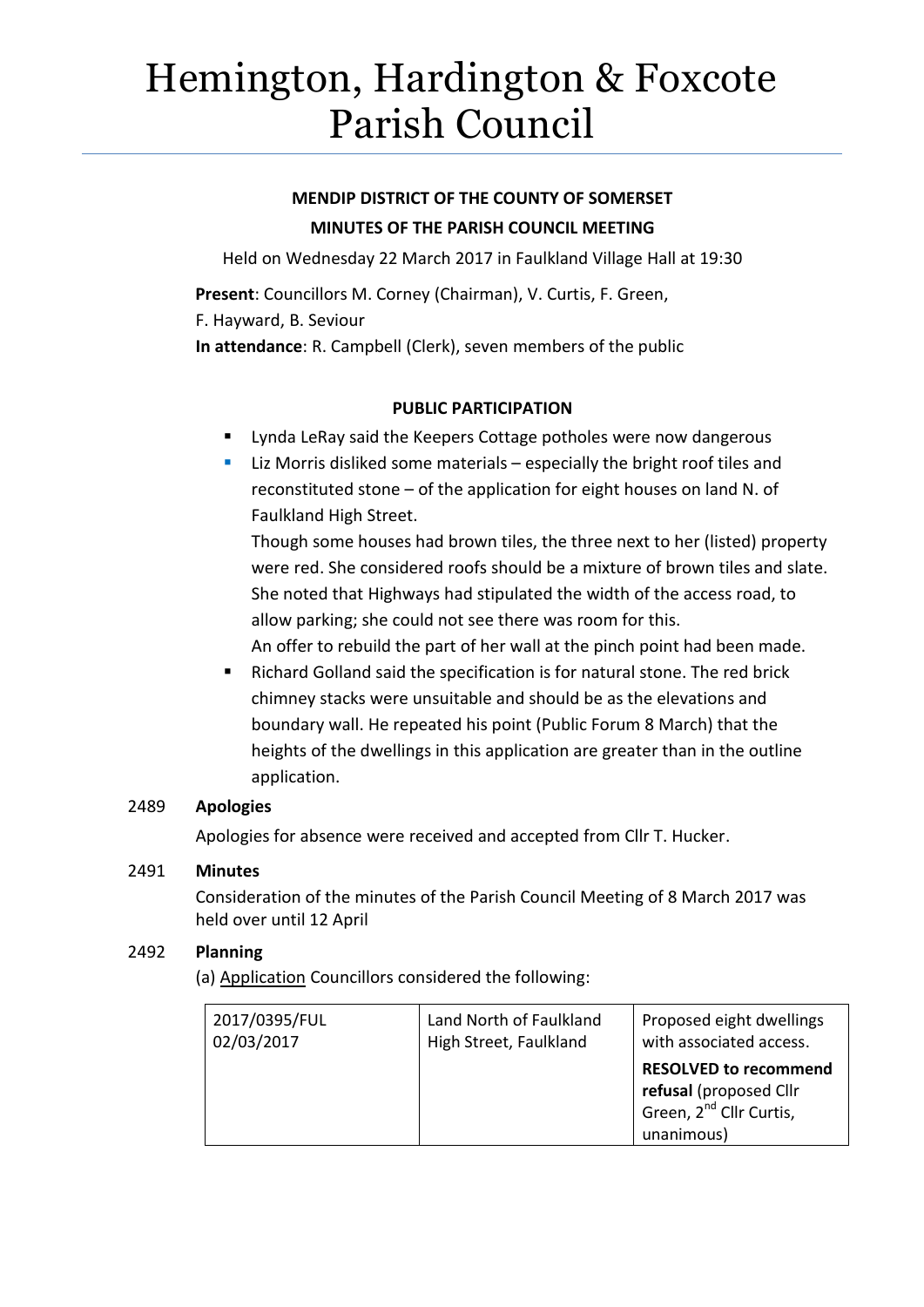# Hemington, Hardington & Foxcote Parish Council

## **MENDIP DISTRICT OF THE COUNTY OF SOMERSET MINUTES OF THE PARISH COUNCIL MEETING**

Held on Wednesday 22 March 2017 in Faulkland Village Hall at 19:30

**Present**: Councillors M. Corney (Chairman), V. Curtis, F. Green, F. Hayward, B. Seviour **In attendance**: R. Campbell (Clerk), seven members of the public

### **PUBLIC PARTICIPATION**

- **EXECT** Lynda LeRay said the Keepers Cottage potholes were now dangerous
- **E** Liz Morris disliked some materials especially the bright roof tiles and reconstituted stone – of the application for eight houses on land N. of Faulkland High Street.

Though some houses had brown tiles, the three next to her (listed) property were red. She considered roofs should be a mixture of brown tiles and slate. She noted that Highways had stipulated the width of the access road, to allow parking; she could not see there was room for this.

An offer to rebuild the part of her wall at the pinch point had been made.

 Richard Golland said the specification is for natural stone. The red brick chimney stacks were unsuitable and should be as the elevations and boundary wall. He repeated his point (Public Forum 8 March) that the heights of the dwellings in this application are greater than in the outline application.

## 2489 **Apologies**

Apologies for absence were received and accepted from Cllr T. Hucker.

#### 2491 **Minutes**

Consideration of the minutes of the Parish Council Meeting of 8 March 2017 was held over until 12 April

## 2492 **Planning**

(a) Application Councillors considered the following:

| 2017/0395/FUL | Land North of Faulkland | Proposed eight dwellings                                                                                    |
|---------------|-------------------------|-------------------------------------------------------------------------------------------------------------|
| 02/03/2017    | High Street, Faulkland  | with associated access.                                                                                     |
|               |                         | <b>RESOLVED to recommend</b><br>refusal (proposed Cllr<br>Green, 2 <sup>nd</sup> Cllr Curtis,<br>unanimous) |